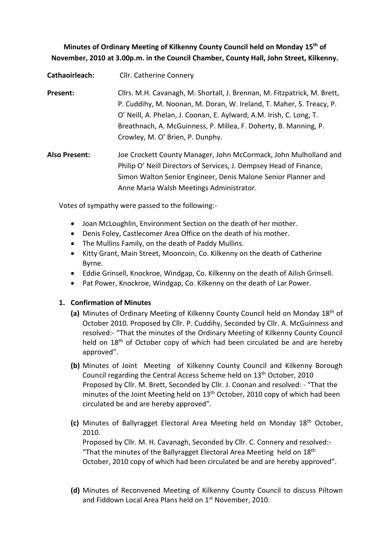**Minutes of Ordinary Meeting of Kilkenny County Council held on Monday 15th of November, 2010 at 3.00p.m. in the Council Chamber, County Hall, John Street, Kilkenny.**

**Cathaoirleach:** Cllr. Catherine Connery

**Present:** Cllrs. M.H. Cavanagh, M. Shortall, J. Brennan, M. Fitzpatrick, M. Brett, P. Cuddihy, M. Noonan, M. Doran, W. Ireland, T. Maher, S. Treacy, P. O' Neill, A. Phelan, J. Coonan, E. Aylward, A.M. Irish, C. Long, T. Breathnach, A. McGuinness, P. Millea, F. Doherty, B. Manning, P. Crowley, M. O' Brien, P. Dunphy.

**Also Present:** Joe Crockett County Manager, John McCormack, John Mulholland and Philip O' Neill Directors of Services, J. Dempsey Head of Finance, Simon Walton Senior Engineer, Denis Malone Senior Planner and Anne Maria Walsh Meetings Administrator.

Votes of sympathy were passed to the following:-

- Joan McLoughlin, Environment Section on the death of her mother.
- Denis Foley, Castlecomer Area Office on the death of his mother.
- The Mullins Family, on the death of Paddy Mullins.
- Kitty Grant, Main Street, Mooncoin, Co. Kilkenny on the death of Catherine Byrne.
- Eddie Grinsell, Knockroe, Windgap, Co. Kilkenny on the death of Ailish Grinsell.
- Pat Power, Knockroe, Windgap, Co. Kilkenny on the death of Lar Power.

# **1. Confirmation of Minutes**

- **(a)** Minutes of Ordinary Meeting of Kilkenny County Council held on Monday 18th of October 2010. Proposed by Cllr. P. Cuddihy, Seconded by Cllr. A. McGuinness and resolved:- "That the minutes of the Ordinary Meeting of Kilkenny County Council held on 18<sup>th</sup> of October copy of which had been circulated be and are hereby approved".
- **(b)** Minutes of Joint Meeting of Kilkenny County Council and Kilkenny Borough Council regarding the Central Access Scheme held on 13th October, 2010 Proposed by Cllr. M. Brett, Seconded by Cllr. J. Coonan and resolved: - "That the minutes of the Joint Meeting held on  $13<sup>th</sup>$  October, 2010 copy of which had been circulated be and are hereby approved".
- **(c)** Minutes of Ballyragget Electoral Area Meeting held on Monday 18th October, 2010.

Proposed by Cllr. M. H. Cavanagh, Seconded by Cllr. C. Connery and resolved:- "That the minutes of the Ballyragget Electoral Area Meeting held on 18<sup>th</sup> October, 2010 copy of which had been circulated be and are hereby approved".

**(d)** Minutes of Reconvened Meeting of Kilkenny County Council to discuss Piltown and Fiddown Local Area Plans held on 1st November, 2010.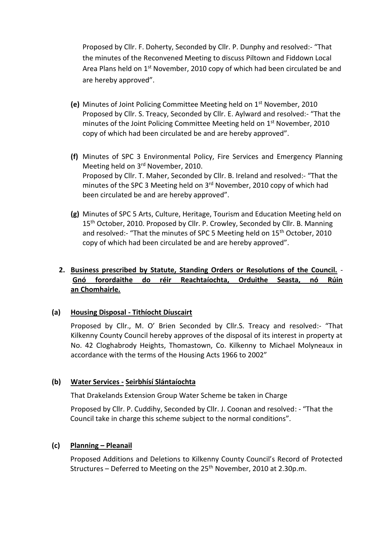Proposed by Cllr. F. Doherty, Seconded by Cllr. P. Dunphy and resolved:- "That the minutes of the Reconvened Meeting to discuss Piltown and Fiddown Local Area Plans held on 1<sup>st</sup> November, 2010 copy of which had been circulated be and are hereby approved".

- **(e)** Minutes of Joint Policing Committee Meeting held on 1st November, 2010 Proposed by Cllr. S. Treacy, Seconded by Cllr. E. Aylward and resolved:- "That the minutes of the Joint Policing Committee Meeting held on 1<sup>st</sup> November, 2010 copy of which had been circulated be and are hereby approved".
- **(f)** Minutes of SPC 3 Environmental Policy, Fire Services and Emergency Planning Meeting held on 3rd November, 2010. Proposed by Cllr. T. Maher, Seconded by Cllr. B. Ireland and resolved:- "That the minutes of the SPC 3 Meeting held on 3<sup>rd</sup> November, 2010 copy of which had been circulated be and are hereby approved".
- **(g)** Minutes of SPC 5 Arts, Culture, Heritage, Tourism and Education Meeting held on 15<sup>th</sup> October, 2010. Proposed by Cllr. P. Crowley, Seconded by Cllr. B. Manning and resolved:- "That the minutes of SPC 5 Meeting held on 15<sup>th</sup> October, 2010 copy of which had been circulated be and are hereby approved".

# **2. Business prescribed by Statute, Standing Orders or Resolutions of the Council.** - **Gnó forordaithe do réir Reachtaíochta, Orduithe Seasta, nó Rúin an Chomhairle.**

# **(a) Housing Disposal - Tithíocht Díuscairt**

Proposed by Cllr., M. O' Brien Seconded by Cllr.S. Treacy and resolved:- "That Kilkenny County Council hereby approves of the disposal of its interest in property at No. 42 Cloghabrody Heights, Thomastown, Co. Kilkenny to Michael Molyneaux in accordance with the terms of the Housing Acts 1966 to 2002"

# **(b) Water Services - Seirbhísí Slántaíochta**

That Drakelands Extension Group Water Scheme be taken in Charge

Proposed by Cllr. P. Cuddihy, Seconded by Cllr. J. Coonan and resolved: - "That the Council take in charge this scheme subject to the normal conditions".

#### **(c) Planning – Pleanail**

Proposed Additions and Deletions to Kilkenny County Council's Record of Protected Structures – Deferred to Meeting on the  $25<sup>th</sup>$  November, 2010 at 2.30p.m.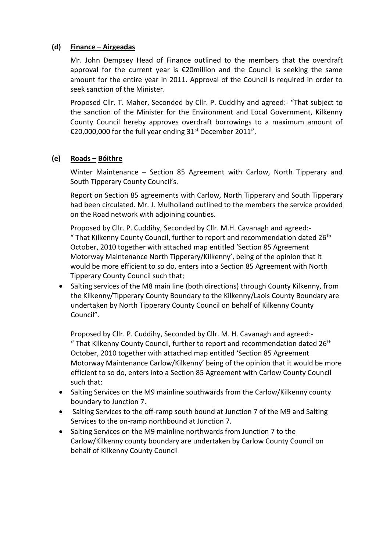## **(d) Finance – Airgeadas**

Mr. John Dempsey Head of Finance outlined to the members that the overdraft approval for the current year is €20million and the Council is seeking the same amount for the entire year in 2011. Approval of the Council is required in order to seek sanction of the Minister.

Proposed Cllr. T. Maher, Seconded by Cllr. P. Cuddihy and agreed:- "That subject to the sanction of the Minister for the Environment and Local Government, Kilkenny County Council hereby approves overdraft borrowings to a maximum amount of €20,000,000 for the full year ending 31<sup>st</sup> December 2011".

## **(e) Roads – Bóithre**

Winter Maintenance – Section 85 Agreement with Carlow, North Tipperary and South Tipperary County Council's.

Report on Section 85 agreements with Carlow, North Tipperary and South Tipperary had been circulated. Mr. J. Mulholland outlined to the members the service provided on the Road network with adjoining counties.

Proposed by Cllr. P. Cuddihy, Seconded by Cllr. M.H. Cavanagh and agreed:- " That Kilkenny County Council, further to report and recommendation dated 26<sup>th</sup> October, 2010 together with attached map entitled 'Section 85 Agreement Motorway Maintenance North Tipperary/Kilkenny', being of the opinion that it would be more efficient to so do, enters into a Section 85 Agreement with North Tipperary County Council such that;

• Salting services of the M8 main line (both directions) through County Kilkenny, from the Kilkenny/Tipperary County Boundary to the Kilkenny/Laois County Boundary are undertaken by North Tipperary County Council on behalf of Kilkenny County Council".

Proposed by Cllr. P. Cuddihy, Seconded by Cllr. M. H. Cavanagh and agreed:- " That Kilkenny County Council, further to report and recommendation dated  $26<sup>th</sup>$ October, 2010 together with attached map entitled 'Section 85 Agreement Motorway Maintenance Carlow/Kilkenny' being of the opinion that it would be more efficient to so do, enters into a Section 85 Agreement with Carlow County Council such that:

- Salting Services on the M9 mainline southwards from the Carlow/Kilkenny county boundary to Junction 7.
- Salting Services to the off-ramp south bound at Junction 7 of the M9 and Salting Services to the on-ramp northbound at Junction 7.
- Salting Services on the M9 mainline northwards from Junction 7 to the Carlow/Kilkenny county boundary are undertaken by Carlow County Council on behalf of Kilkenny County Council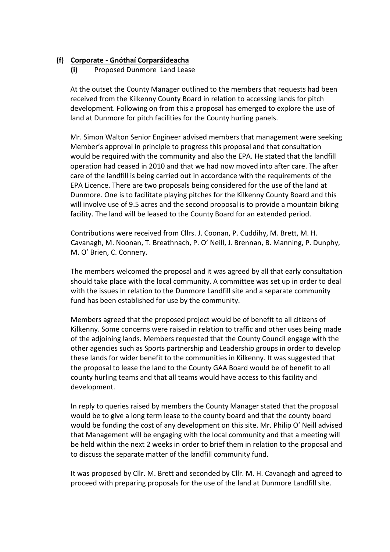# **(f) Corporate - Gnóthaí Corparáideacha**

**(i)** Proposed Dunmore Land Lease

At the outset the County Manager outlined to the members that requests had been received from the Kilkenny County Board in relation to accessing lands for pitch development. Following on from this a proposal has emerged to explore the use of land at Dunmore for pitch facilities for the County hurling panels.

Mr. Simon Walton Senior Engineer advised members that management were seeking Member's approval in principle to progress this proposal and that consultation would be required with the community and also the EPA. He stated that the landfill operation had ceased in 2010 and that we had now moved into after care. The after care of the landfill is being carried out in accordance with the requirements of the EPA Licence. There are two proposals being considered for the use of the land at Dunmore. One is to facilitate playing pitches for the Kilkenny County Board and this will involve use of 9.5 acres and the second proposal is to provide a mountain biking facility. The land will be leased to the County Board for an extended period.

Contributions were received from Cllrs. J. Coonan, P. Cuddihy, M. Brett, M. H. Cavanagh, M. Noonan, T. Breathnach, P. O' Neill, J. Brennan, B. Manning, P. Dunphy, M. O' Brien, C. Connery.

The members welcomed the proposal and it was agreed by all that early consultation should take place with the local community. A committee was set up in order to deal with the issues in relation to the Dunmore Landfill site and a separate community fund has been established for use by the community.

Members agreed that the proposed project would be of benefit to all citizens of Kilkenny. Some concerns were raised in relation to traffic and other uses being made of the adjoining lands. Members requested that the County Council engage with the other agencies such as Sports partnership and Leadership groups in order to develop these lands for wider benefit to the communities in Kilkenny. It was suggested that the proposal to lease the land to the County GAA Board would be of benefit to all county hurling teams and that all teams would have access to this facility and development.

In reply to queries raised by members the County Manager stated that the proposal would be to give a long term lease to the county board and that the county board would be funding the cost of any development on this site. Mr. Philip O' Neill advised that Management will be engaging with the local community and that a meeting will be held within the next 2 weeks in order to brief them in relation to the proposal and to discuss the separate matter of the landfill community fund.

It was proposed by Cllr. M. Brett and seconded by Cllr. M. H. Cavanagh and agreed to proceed with preparing proposals for the use of the land at Dunmore Landfill site.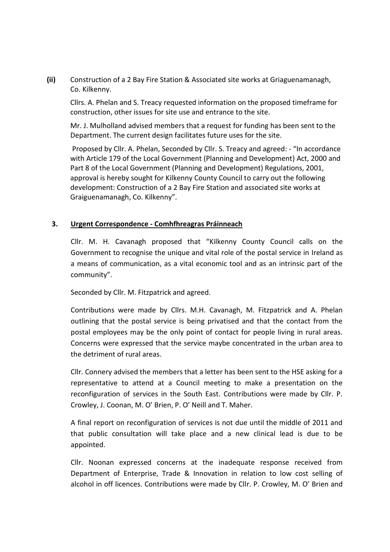**(ii)** Construction of a 2 Bay Fire Station & Associated site works at Griaguenamanagh, Co. Kilkenny.

Cllrs. A. Phelan and S. Treacy requested information on the proposed timeframe for construction, other issues for site use and entrance to the site.

Mr. J. Mulholland advised members that a request for funding has been sent to the Department. The current design facilitates future uses for the site.

Proposed by Cllr. A. Phelan, Seconded by Cllr. S. Treacy and agreed: - "In accordance with Article 179 of the Local Government (Planning and Development) Act, 2000 and Part 8 of the Local Government (Planning and Development) Regulations, 2001, approval is hereby sought for Kilkenny County Council to carry out the following development: Construction of a 2 Bay Fire Station and associated site works at Graiguenamanagh, Co. Kilkenny".

#### **3. Urgent Correspondence - Comhfhreagras Práinneach**

Cllr. M. H. Cavanagh proposed that "Kilkenny County Council calls on the Government to recognise the unique and vital role of the postal service in Ireland as a means of communication, as a vital economic tool and as an intrinsic part of the community".

Seconded by Cllr. M. Fitzpatrick and agreed.

Contributions were made by Cllrs. M.H. Cavanagh, M. Fitzpatrick and A. Phelan outlining that the postal service is being privatised and that the contact from the postal employees may be the only point of contact for people living in rural areas. Concerns were expressed that the service maybe concentrated in the urban area to the detriment of rural areas.

Cllr. Connery advised the members that a letter has been sent to the HSE asking for a representative to attend at a Council meeting to make a presentation on the reconfiguration of services in the South East. Contributions were made by Cllr. P. Crowley, J. Coonan, M. O' Brien, P. O' Neill and T. Maher.

A final report on reconfiguration of services is not due until the middle of 2011 and that public consultation will take place and a new clinical lead is due to be appointed.

Cllr. Noonan expressed concerns at the inadequate response received from Department of Enterprise, Trade & Innovation in relation to low cost selling of alcohol in off licences. Contributions were made by Cllr. P. Crowley, M. O' Brien and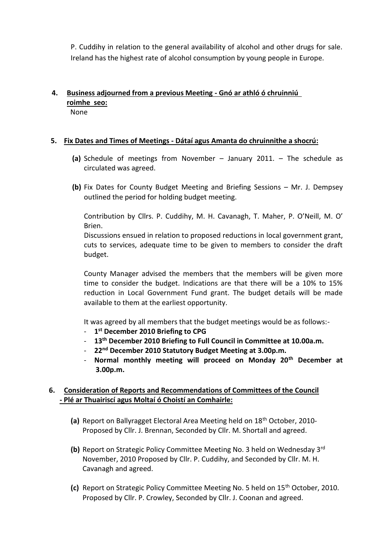P. Cuddihy in relation to the general availability of alcohol and other drugs for sale. Ireland has the highest rate of alcohol consumption by young people in Europe.

#### **4. Business adjourned from a previous Meeting - Gnó ar athló ó chruinniú roimhe seo:** None

## **5. Fix Dates and Times of Meetings - Dátaí agus Amanta do chruinnithe a shocrú:**

- **(a)** Schedule of meetings from November January 2011. The schedule as circulated was agreed.
- **(b)** Fix Dates for County Budget Meeting and Briefing Sessions Mr. J. Dempsey outlined the period for holding budget meeting.

Contribution by Cllrs. P. Cuddihy, M. H. Cavanagh, T. Maher, P. O'Neill, M. O' Brien.

Discussions ensued in relation to proposed reductions in local government grant, cuts to services, adequate time to be given to members to consider the draft budget.

County Manager advised the members that the members will be given more time to consider the budget. Indications are that there will be a 10% to 15% reduction in Local Government Fund grant. The budget details will be made available to them at the earliest opportunity.

It was agreed by all members that the budget meetings would be as follows:-

- **1 st December 2010 Briefing to CPG**
- **13th December 2010 Briefing to Full Council in Committee at 10.00a.m.**
- **22nd December 2010 Statutory Budget Meeting at 3.00p.m.**
- **Normal monthly meeting will proceed on Monday 20th December at 3.00p.m.**

# **6. Consideration of Reports and Recommendations of Committees of the Council - Plé ar Thuairiscí agus Moltaí ó Choistí an Comhairle:**

- **(a)** Report on Ballyragget Electoral Area Meeting held on 18th October, 2010- Proposed by Cllr. J. Brennan, Seconded by Cllr. M. Shortall and agreed.
- **(b)** Report on Strategic Policy Committee Meeting No. 3 held on Wednesday 3rd November, 2010 Proposed by Cllr. P. Cuddihy, and Seconded by Cllr. M. H. Cavanagh and agreed.
- **(c)** Report on Strategic Policy Committee Meeting No. 5 held on 15th October, 2010. Proposed by Cllr. P. Crowley, Seconded by Cllr. J. Coonan and agreed.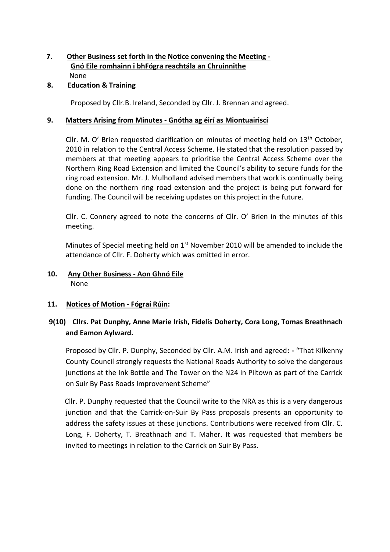## **7. Other Business set forth in the Notice convening the Meeting - Gnó Eile romhainn i bhFógra reachtála an Chruinnithe** None

## **8. Education & Training**

Proposed by Cllr.B. Ireland, Seconded by Cllr. J. Brennan and agreed.

## **9. Matters Arising from Minutes - Gnótha ag éirí as Miontuairiscí**

Cllr. M. O' Brien requested clarification on minutes of meeting held on  $13<sup>th</sup>$  October, 2010 in relation to the Central Access Scheme. He stated that the resolution passed by members at that meeting appears to prioritise the Central Access Scheme over the Northern Ring Road Extension and limited the Council's ability to secure funds for the ring road extension. Mr. J. Mulholland advised members that work is continually being done on the northern ring road extension and the project is being put forward for funding. The Council will be receiving updates on this project in the future.

Cllr. C. Connery agreed to note the concerns of Cllr. O' Brien in the minutes of this meeting.

Minutes of Special meeting held on  $1<sup>st</sup>$  November 2010 will be amended to include the attendance of Cllr. F. Doherty which was omitted in error.

# **10. Any Other Business - Aon Ghnó Eile** None

# **11. Notices of Motion - Fógraí Rúin:**

# **9(10) Cllrs. Pat Dunphy, Anne Marie Irish, Fidelis Doherty, Cora Long, Tomas Breathnach and Eamon Aylward.**

Proposed by Cllr. P. Dunphy, Seconded by Cllr. A.M. Irish and agreed**: -** "That Kilkenny County Council strongly requests the National Roads Authority to solve the dangerous junctions at the Ink Bottle and The Tower on the N24 in Piltown as part of the Carrick on Suir By Pass Roads Improvement Scheme"

Cllr. P. Dunphy requested that the Council write to the NRA as this is a very dangerous junction and that the Carrick-on-Suir By Pass proposals presents an opportunity to address the safety issues at these junctions. Contributions were received from Cllr. C. Long, F. Doherty, T. Breathnach and T. Maher. It was requested that members be invited to meetings in relation to the Carrick on Suir By Pass.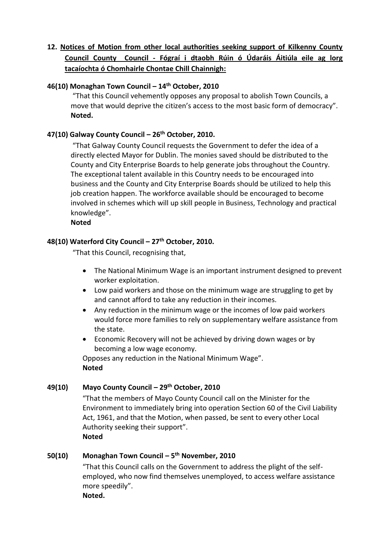# **12. Notices of Motion from other local authorities seeking support of Kilkenny County Council County Council - Fógraí i dtaobh Rúin ó Údaráis Áitiúla eile ag lorg tacaíochta ó Chomhairle Chontae Chill Chainnigh:**

## **46(10) Monaghan Town Council – 14th October, 2010**

"That this Council vehemently opposes any proposal to abolish Town Councils, a move that would deprive the citizen's access to the most basic form of democracy". **Noted.** 

## **47(10) Galway County Council – 26th October, 2010.**

"That Galway County Council requests the Government to defer the idea of a directly elected Mayor for Dublin. The monies saved should be distributed to the County and City Enterprise Boards to help generate jobs throughout the Country. The exceptional talent available in this Country needs to be encouraged into business and the County and City Enterprise Boards should be utilized to help this job creation happen. The workforce available should be encouraged to become involved in schemes which will up skill people in Business, Technology and practical knowledge".

#### **Noted**

# **48(10) Waterford City Council – 27th October, 2010.**

"That this Council, recognising that,

- The National Minimum Wage is an important instrument designed to prevent worker exploitation.
- Low paid workers and those on the minimum wage are struggling to get by and cannot afford to take any reduction in their incomes.
- Any reduction in the minimum wage or the incomes of low paid workers would force more families to rely on supplementary welfare assistance from the state.
- Economic Recovery will not be achieved by driving down wages or by becoming a low wage economy.

Opposes any reduction in the National Minimum Wage". **Noted** 

#### **49(10) Mayo County Council – 29th October, 2010**

"That the members of Mayo County Council call on the Minister for the Environment to immediately bring into operation Section 60 of the Civil Liability Act, 1961, and that the Motion, when passed, be sent to every other Local Authority seeking their support". **Noted** 

#### **50(10) Monaghan Town Council – 5 th November, 2010**

"That this Council calls on the Government to address the plight of the selfemployed, who now find themselves unemployed, to access welfare assistance more speedily".

**Noted.**